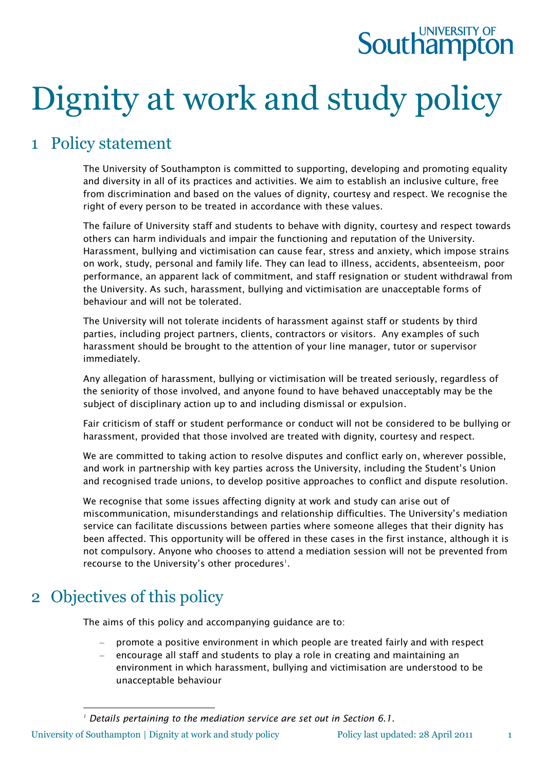# **Southampto**

# Dignity at work and study policy

# 1 Policy statement

The University of Southampton is committed to supporting, developing and promoting equality and diversity in all of its practices and activities. We aim to establish an inclusive culture, free from discrimination and based on the values of dignity, courtesy and respect. We recognise the right of every person to be treated in accordance with these values.

The failure of University staff and students to behave with dignity, courtesy and respect towards others can harm individuals and impair the functioning and reputation of the University. Harassment, bullying and victimisation can cause fear, stress and anxiety, which impose strains on work, study, personal and family life. They can lead to illness, accidents, absenteeism, poor performance, an apparent lack of commitment, and staff resignation or student withdrawal from the University. As such, harassment, bullying and victimisation are unacceptable forms of behaviour and will not be tolerated.

The University will not tolerate incidents of harassment against staff or students by third parties, including project partners, clients, contractors or visitors. Any examples of such harassment should be brought to the attention of your line manager, tutor or supervisor immediately.

Any allegation of harassment, bullying or victimisation will be treated seriously, regardless of the seniority of those involved, and anyone found to have behaved unacceptably may be the subject of disciplinary action up to and including dismissal or expulsion.

Fair criticism of staff or student performance or conduct will not be considered to be bullying or harassment, provided that those involved are treated with dignity, courtesy and respect.

We are committed to taking action to resolve disputes and conflict early on, wherever possible, and work in partnership with key parties across the University, including the Student's Union and recognised trade unions, to develop positive approaches to conflict and dispute resolution.

We recognise that some issues affecting dignity at work and study can arise out of miscommunication, misunderstandings and relationship difficulties. The University's mediation service can facilitate discussions between parties where someone alleges that their dignity has been affected. This opportunity will be offered in these cases in the first instance, although it is not compulsory. Anyone who chooses to attend a mediation session will not be prevented from recourse to the University's other procedures<sup>1</sup>.

# 2 Objectives of this policy

The aims of this policy and accompanying guidance are to:

- promote a positive environment in which people are treated fairly and with respect
- encourage all staff and students to play a role in creating and maintaining an environment in which harassment, bullying and victimisation are understood to be unacceptable behaviour

*<sup>1</sup> Details pertaining to the mediation service are set out in Section [6.1.](#page-4-0)*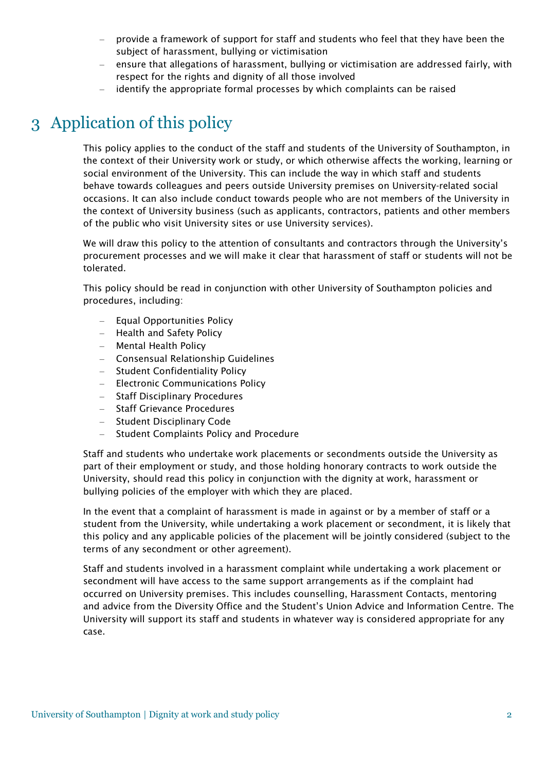- provide a framework of support for staff and students who feel that they have been the subject of harassment, bullying or victimisation
- ensure that allegations of harassment, bullying or victimisation are addressed fairly, with respect for the rights and dignity of all those involved
- identify the appropriate formal processes by which complaints can be raised

# 3 Application of this policy

This policy applies to the conduct of the staff and students of the University of Southampton, in the context of their University work or study, or which otherwise affects the working, learning or social environment of the University. This can include the way in which staff and students behave towards colleagues and peers outside University premises on University-related social occasions. It can also include conduct towards people who are not members of the University in the context of University business (such as applicants, contractors, patients and other members of the public who visit University sites or use University services).

We will draw this policy to the attention of consultants and contractors through the University's procurement processes and we will make it clear that harassment of staff or students will not be tolerated.

This policy should be read in conjunction with other University of Southampton policies and procedures, including:

- Equal Opportunities Policy
- Health and Safety Policy
- Mental Health Policy
- Consensual Relationship Guidelines
- Student Confidentiality Policy
- Electronic Communications Policy
- Staff Disciplinary Procedures
- Staff Grievance Procedures
- Student Disciplinary Code
- Student Complaints Policy and Procedure

Staff and students who undertake work placements or secondments outside the University as part of their employment or study, and those holding honorary contracts to work outside the University, should read this policy in conjunction with the dignity at work, harassment or bullying policies of the employer with which they are placed.

In the event that a complaint of harassment is made in against or by a member of staff or a student from the University, while undertaking a work placement or secondment, it is likely that this policy and any applicable policies of the placement will be jointly considered (subject to the terms of any secondment or other agreement).

Staff and students involved in a harassment complaint while undertaking a work placement or secondment will have access to the same support arrangements as if the complaint had occurred on University premises. This includes counselling, Harassment Contacts, mentoring and advice from the Diversity Office and the Student's Union Advice and Information Centre. The University will support its staff and students in whatever way is considered appropriate for any case.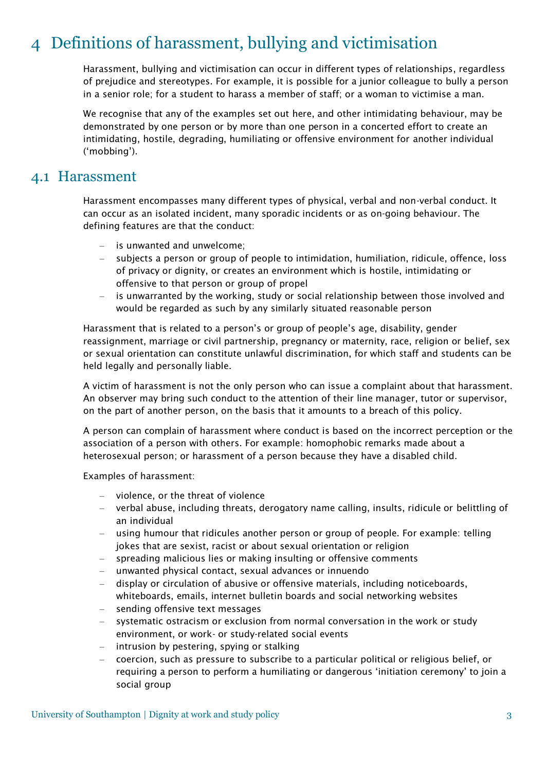# 4 Definitions of harassment, bullying and victimisation

Harassment, bullying and victimisation can occur in different types of relationships, regardless of prejudice and stereotypes. For example, it is possible for a junior colleague to bully a person in a senior role; for a student to harass a member of staff; or a woman to victimise a man.

We recognise that any of the examples set out here, and other intimidating behaviour, may be demonstrated by one person or by more than one person in a concerted effort to create an intimidating, hostile, degrading, humiliating or offensive environment for another individual ('mobbing').

#### 4.1 Harassment

Harassment encompasses many different types of physical, verbal and non-verbal conduct. It can occur as an isolated incident, many sporadic incidents or as on-going behaviour. The defining features are that the conduct:

- is unwanted and unwelcome;
- subjects a person or group of people to intimidation, humiliation, ridicule, offence, loss of privacy or dignity, or creates an environment which is hostile, intimidating or offensive to that person or group of propel
- is unwarranted by the working, study or social relationship between those involved and would be regarded as such by any similarly situated reasonable person

Harassment that is related to a person's or group of people's age, disability, gender reassignment, marriage or civil partnership, pregnancy or maternity, race, religion or belief, sex or sexual orientation can constitute unlawful discrimination, for which staff and students can be held legally and personally liable.

A victim of harassment is not the only person who can issue a complaint about that harassment. An observer may bring such conduct to the attention of their line manager, tutor or supervisor, on the part of another person, on the basis that it amounts to a breach of this policy.

A person can complain of harassment where conduct is based on the incorrect perception or the association of a person with others. For example: homophobic remarks made about a heterosexual person; or harassment of a person because they have a disabled child.

Examples of harassment:

- violence, or the threat of violence
- verbal abuse, including threats, derogatory name calling, insults, ridicule or belittling of an individual
- using humour that ridicules another person or group of people. For example: telling jokes that are sexist, racist or about sexual orientation or religion
- spreading malicious lies or making insulting or offensive comments
- unwanted physical contact, sexual advances or innuendo
- display or circulation of abusive or offensive materials, including noticeboards, whiteboards, emails, internet bulletin boards and social networking websites
- sending offensive text messages
- systematic ostracism or exclusion from normal conversation in the work or study environment, or work- or study-related social events
- intrusion by pestering, spying or stalking
- coercion, such as pressure to subscribe to a particular political or religious belief, or requiring a person to perform a humiliating or dangerous 'initiation ceremony' to join a social group

University of Southampton | Dignity at work and study policy 3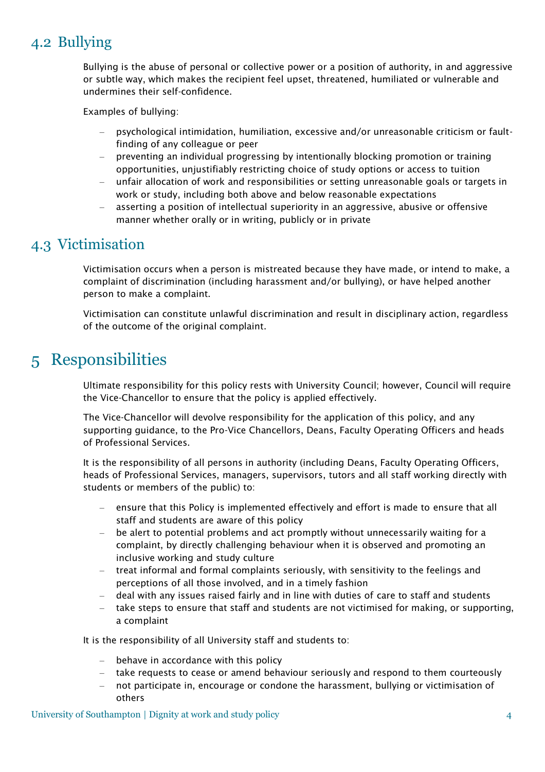# 4.2 Bullying

Bullying is the abuse of personal or collective power or a position of authority, in and aggressive or subtle way, which makes the recipient feel upset, threatened, humiliated or vulnerable and undermines their self-confidence.

Examples of bullying:

- psychological intimidation, humiliation, excessive and/or unreasonable criticism or faultfinding of any colleague or peer
- preventing an individual progressing by intentionally blocking promotion or training opportunities, unjustifiably restricting choice of study options or access to tuition
- unfair allocation of work and responsibilities or setting unreasonable goals or targets in work or study, including both above and below reasonable expectations
- asserting a position of intellectual superiority in an aggressive, abusive or offensive manner whether orally or in writing, publicly or in private

#### 4.3 Victimisation

Victimisation occurs when a person is mistreated because they have made, or intend to make, a complaint of discrimination (including harassment and/or bullying), or have helped another person to make a complaint.

Victimisation can constitute unlawful discrimination and result in disciplinary action, regardless of the outcome of the original complaint.

#### 5 Responsibilities

Ultimate responsibility for this policy rests with University Council; however, Council will require the Vice-Chancellor to ensure that the policy is applied effectively.

The Vice-Chancellor will devolve responsibility for the application of this policy, and any supporting guidance, to the Pro-Vice Chancellors, Deans, Faculty Operating Officers and heads of Professional Services.

It is the responsibility of all persons in authority (including Deans, Faculty Operating Officers, heads of Professional Services, managers, supervisors, tutors and all staff working directly with students or members of the public) to:

- ensure that this Policy is implemented effectively and effort is made to ensure that all staff and students are aware of this policy
- be alert to potential problems and act promptly without unnecessarily waiting for a complaint, by directly challenging behaviour when it is observed and promoting an inclusive working and study culture
- treat informal and formal complaints seriously, with sensitivity to the feelings and perceptions of all those involved, and in a timely fashion
- deal with any issues raised fairly and in line with duties of care to staff and students
- take steps to ensure that staff and students are not victimised for making, or supporting, a complaint

It is the responsibility of all University staff and students to:

- behave in accordance with this policy
- take requests to cease or amend behaviour seriously and respond to them courteously
- not participate in, encourage or condone the harassment, bullying or victimisation of others

University of Southampton | Dignity at work and study policy  $\frac{4}{3}$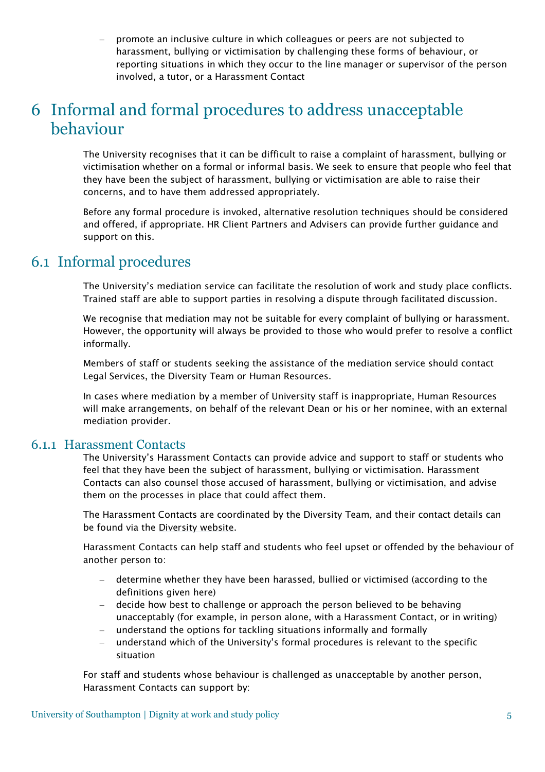– promote an inclusive culture in which colleagues or peers are not subjected to harassment, bullying or victimisation by challenging these forms of behaviour, or reporting situations in which they occur to the line manager or supervisor of the person involved, a tutor, or a Harassment Contact

## 6 Informal and formal procedures to address unacceptable behaviour

The University recognises that it can be difficult to raise a complaint of harassment, bullying or victimisation whether on a formal or informal basis. We seek to ensure that people who feel that they have been the subject of harassment, bullying or victimisation are able to raise their concerns, and to have them addressed appropriately.

Before any formal procedure is invoked, alternative resolution techniques should be considered and offered, if appropriate. HR Client Partners and Advisers can provide further guidance and support on this.

#### <span id="page-4-0"></span>6.1 Informal procedures

The University's mediation service can facilitate the resolution of work and study place conflicts. Trained staff are able to support parties in resolving a dispute through facilitated discussion.

We recognise that mediation may not be suitable for every complaint of bullying or harassment. However, the opportunity will always be provided to those who would prefer to resolve a conflict informally.

Members of staff or students seeking the assistance of the mediation service should contact Legal Services, the Diversity Team or Human Resources.

In cases where mediation by a member of University staff is inappropriate, Human Resources will make arrangements, on behalf of the relevant Dean or his or her nominee, with an external mediation provider.

#### 6.1.1 Harassment Contacts

The University's Harassment Contacts can provide advice and support to staff or students who feel that they have been the subject of harassment, bullying or victimisation. Harassment Contacts can also counsel those accused of harassment, bullying or victimisation, and advise them on the processes in place that could affect them.

The Harassment Contacts are coordinated by the Diversity Team, and their contact details can be found via the [Diversity website.](https://www.southampton.ac.uk/diversity)

Harassment Contacts can help staff and students who feel upset or offended by the behaviour of another person to:

- determine whether they have been harassed, bullied or victimised (according to the definitions given here)
- decide how best to challenge or approach the person believed to be behaving unacceptably (for example, in person alone, with a Harassment Contact, or in writing)
- understand the options for tackling situations informally and formally
- understand which of the University's formal procedures is relevant to the specific situation

For staff and students whose behaviour is challenged as unacceptable by another person, Harassment Contacts can support by: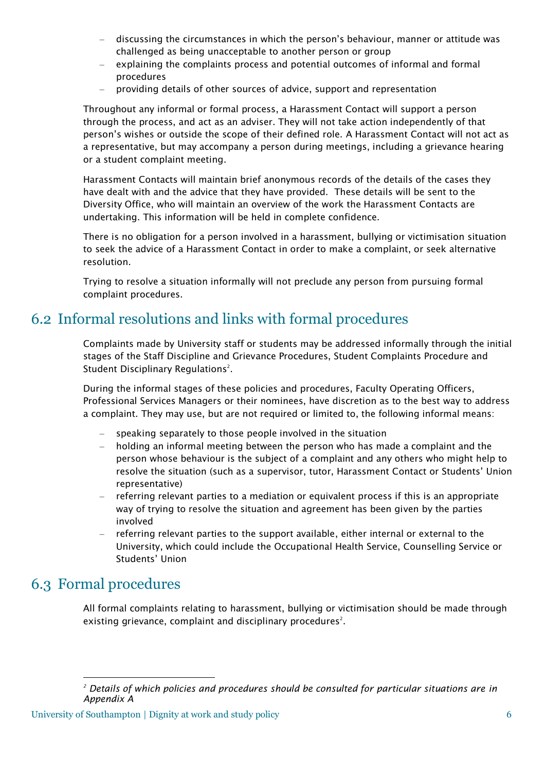- discussing the circumstances in which the person's behaviour, manner or attitude was challenged as being unacceptable to another person or group
- explaining the complaints process and potential outcomes of informal and formal procedures
- providing details of other sources of advice, support and representation

Throughout any informal or formal process, a Harassment Contact will support a person through the process, and act as an adviser. They will not take action independently of that person's wishes or outside the scope of their defined role. A Harassment Contact will not act as a representative, but may accompany a person during meetings, including a grievance hearing or a student complaint meeting.

Harassment Contacts will maintain brief anonymous records of the details of the cases they have dealt with and the advice that they have provided. These details will be sent to the Diversity Office, who will maintain an overview of the work the Harassment Contacts are undertaking. This information will be held in complete confidence.

There is no obligation for a person involved in a harassment, bullying or victimisation situation to seek the advice of a Harassment Contact in order to make a complaint, or seek alternative resolution.

Trying to resolve a situation informally will not preclude any person from pursuing formal complaint procedures.

#### 6.2 Informal resolutions and links with formal procedures

Complaints made by University staff or students may be addressed informally through the initial stages of the Staff Discipline and Grievance Procedures, Student Complaints Procedure and Student Disciplinary Regulations<sup>2</sup>.

During the informal stages of these policies and procedures, Faculty Operating Officers, Professional Services Managers or their nominees, have discretion as to the best way to address a complaint. They may use, but are not required or limited to, the following informal means:

- speaking separately to those people involved in the situation
- holding an informal meeting between the person who has made a complaint and the person whose behaviour is the subject of a complaint and any others who might help to resolve the situation (such as a supervisor, tutor, Harassment Contact or Students' Union representative)
- referring relevant parties to a mediation or equivalent process if this is an appropriate way of trying to resolve the situation and agreement has been given by the parties involved
- referring relevant parties to the support available, either internal or external to the University, which could include the Occupational Health Service, Counselling Service or Students' Union

#### 6.3 Formal procedures

All formal complaints relating to harassment, bullying or victimisation should be made through existing grievance, complaint and disciplinary procedures $^2$ .

University of Southampton | Dignity at work and study policy 6

*<sup>2</sup> Details of which policies and procedures should be consulted for particular situations are in Appendix [A](#page-9-0)*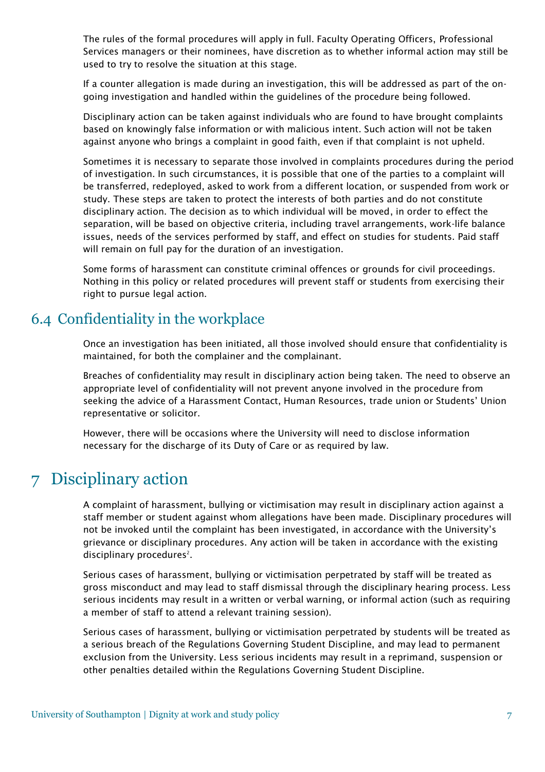The rules of the formal procedures will apply in full. Faculty Operating Officers, Professional Services managers or their nominees, have discretion as to whether informal action may still be used to try to resolve the situation at this stage.

If a counter allegation is made during an investigation, this will be addressed as part of the ongoing investigation and handled within the guidelines of the procedure being followed.

Disciplinary action can be taken against individuals who are found to have brought complaints based on knowingly false information or with malicious intent. Such action will not be taken against anyone who brings a complaint in good faith, even if that complaint is not upheld.

Sometimes it is necessary to separate those involved in complaints procedures during the period of investigation. In such circumstances, it is possible that one of the parties to a complaint will be transferred, redeployed, asked to work from a different location, or suspended from work or study. These steps are taken to protect the interests of both parties and do not constitute disciplinary action. The decision as to which individual will be moved, in order to effect the separation, will be based on objective criteria, including travel arrangements, work-life balance issues, needs of the services performed by staff, and effect on studies for students. Paid staff will remain on full pay for the duration of an investigation.

Some forms of harassment can constitute criminal offences or grounds for civil proceedings. Nothing in this policy or related procedures will prevent staff or students from exercising their right to pursue legal action.

#### 6.4 Confidentiality in the workplace

Once an investigation has been initiated, all those involved should ensure that confidentiality is maintained, for both the complainer and the complainant.

Breaches of confidentiality may result in disciplinary action being taken. The need to observe an appropriate level of confidentiality will not prevent anyone involved in the procedure from seeking the advice of a Harassment Contact, Human Resources, trade union or Students' Union representative or solicitor.

However, there will be occasions where the University will need to disclose information necessary for the discharge of its Duty of Care or as required by law.

# 7 Disciplinary action

A complaint of harassment, bullying or victimisation may result in disciplinary action against a staff member or student against whom allegations have been made. Disciplinary procedures will not be invoked until the complaint has been investigated, in accordance with the University's grievance or disciplinary procedures. Any action will be taken in accordance with the existing disciplinary procedures<sup>2</sup>.

Serious cases of harassment, bullying or victimisation perpetrated by staff will be treated as gross misconduct and may lead to staff dismissal through the disciplinary hearing process. Less serious incidents may result in a written or verbal warning, or informal action (such as requiring a member of staff to attend a relevant training session).

Serious cases of harassment, bullying or victimisation perpetrated by students will be treated as a serious breach of the Regulations Governing Student Discipline, and may lead to permanent exclusion from the University. Less serious incidents may result in a reprimand, suspension or other penalties detailed within the Regulations Governing Student Discipline.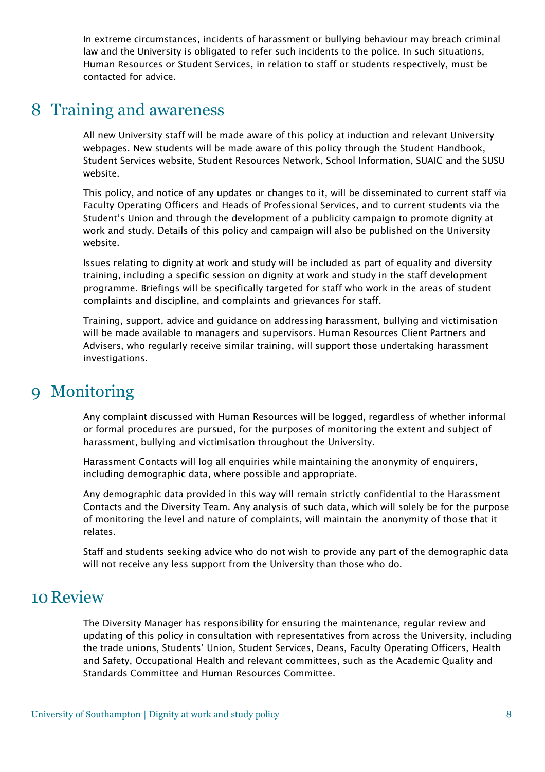In extreme circumstances, incidents of harassment or bullying behaviour may breach criminal law and the University is obligated to refer such incidents to the police. In such situations, Human Resources or Student Services, in relation to staff or students respectively, must be contacted for advice.

### 8 Training and awareness

All new University staff will be made aware of this policy at induction and relevant University webpages. New students will be made aware of this policy through the Student Handbook, Student Services website, Student Resources Network, School Information, SUAIC and the SUSU website.

This policy, and notice of any updates or changes to it, will be disseminated to current staff via Faculty Operating Officers and Heads of Professional Services, and to current students via the Student's Union and through the development of a publicity campaign to promote dignity at work and study. Details of this policy and campaign will also be published on the University website.

Issues relating to dignity at work and study will be included as part of equality and diversity training, including a specific session on dignity at work and study in the staff development programme. Briefings will be specifically targeted for staff who work in the areas of student complaints and discipline, and complaints and grievances for staff.

Training, support, advice and guidance on addressing harassment, bullying and victimisation will be made available to managers and supervisors. Human Resources Client Partners and Advisers, who regularly receive similar training, will support those undertaking harassment investigations.

## 9 Monitoring

Any complaint discussed with Human Resources will be logged, regardless of whether informal or formal procedures are pursued, for the purposes of monitoring the extent and subject of harassment, bullying and victimisation throughout the University.

Harassment Contacts will log all enquiries while maintaining the anonymity of enquirers, including demographic data, where possible and appropriate.

Any demographic data provided in this way will remain strictly confidential to the Harassment Contacts and the Diversity Team. Any analysis of such data, which will solely be for the purpose of monitoring the level and nature of complaints, will maintain the anonymity of those that it relates.

Staff and students seeking advice who do not wish to provide any part of the demographic data will not receive any less support from the University than those who do.

#### 10 Review

The Diversity Manager has responsibility for ensuring the maintenance, regular review and updating of this policy in consultation with representatives from across the University, including the trade unions, Students' Union, Student Services, Deans, Faculty Operating Officers, Health and Safety, Occupational Health and relevant committees, such as the Academic Quality and Standards Committee and Human Resources Committee.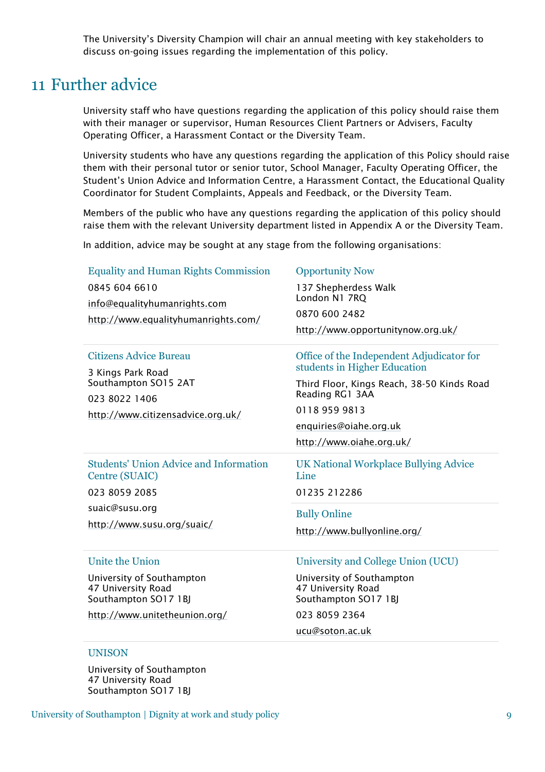The University's Diversity Champion will chair an annual meeting with key stakeholders to discuss on-going issues regarding the implementation of this policy.

#### 11 Further advice

University staff who have questions regarding the application of this policy should raise them with their manager or supervisor, Human Resources Client Partners or Advisers, Faculty Operating Officer, a Harassment Contact or the Diversity Team.

University students who have any questions regarding the application of this Policy should raise them with their personal tutor or senior tutor, School Manager, Faculty Operating Officer, the Student's Union Advice and Information Centre, a Harassment Contact, the Educational Quality Coordinator for Student Complaints, Appeals and Feedback, or the Diversity Team.

Members of the public who have any questions regarding the application of this policy should raise them with the relevant University department listed in Appendix A or the Diversity Team.

In addition, advice may be sought at any stage from the following organisations:

| <b>Equality and Human Rights Commission</b><br>0845 604 6610<br>info@equalityhumanrights.com<br>http://www.equalityhumanrights.com/ | <b>Opportunity Now</b><br>137 Shepherdess Walk<br>London N1 7RQ<br>0870 600 2482<br>http://www.opportunitynow.org.uk/                                                                                           |
|-------------------------------------------------------------------------------------------------------------------------------------|-----------------------------------------------------------------------------------------------------------------------------------------------------------------------------------------------------------------|
| <b>Citizens Advice Bureau</b><br>3 Kings Park Road<br>Southampton SO15 2AT<br>023 8022 1406<br>http://www.citizensadvice.org.uk/    | Office of the Independent Adjudicator for<br>students in Higher Education<br>Third Floor, Kings Reach, 38-50 Kinds Road<br>Reading RG1 3AA<br>01189599813<br>enquiries@oiahe.org.uk<br>http://www.oiahe.org.uk/ |
| <b>Students' Union Advice and Information</b><br>Centre (SUAIC)<br>023 8059 2085<br>suaic@susu.org<br>http://www.susu.org/suaic/    | UK National Workplace Bullying Advice<br>Line<br>01235 212286<br><b>Bully Online</b><br>http://www.bullyonline.org/                                                                                             |
| Unite the Union<br>University of Southampton<br>47 University Road<br>Southampton SO17 1BJ<br>http://www.unitetheunion.org/         | University and College Union (UCU)<br>University of Southampton<br>47 University Road<br>Southampton SO17 1BJ<br>023 8059 2364<br>ucu@soton.ac.uk                                                               |

#### UNISON

University of Southampton 47 University Road Southampton SO17 1BJ

University of Southampton | Dignity at work and study policy 9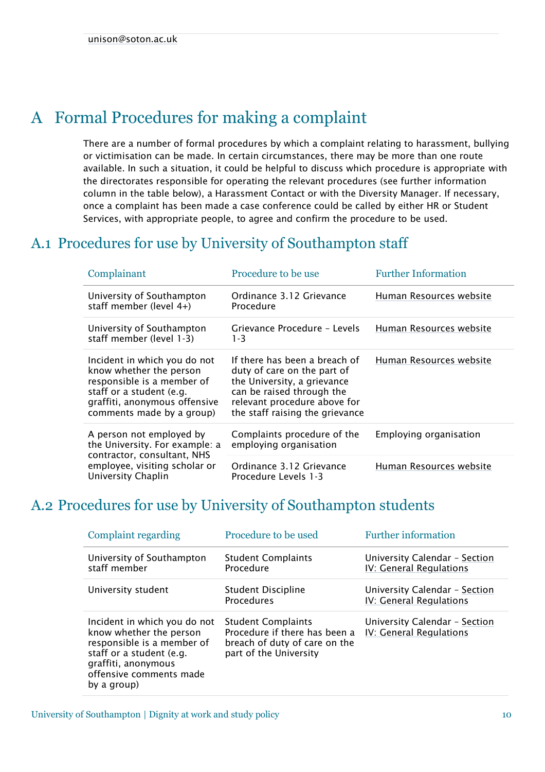# <span id="page-9-0"></span>A Formal Procedures for making a complaint

There are a number of formal procedures by which a complaint relating to harassment, bullying or victimisation can be made. In certain circumstances, there may be more than one route available. In such a situation, it could be helpful to discuss which procedure is appropriate with the directorates responsible for operating the relevant procedures (see further information column in the table below), a Harassment Contact or with the Diversity Manager. If necessary, once a complaint has been made a case conference could be called by either HR or Student Services, with appropriate people, to agree and confirm the procedure to be used.

### A.1 Procedures for use by University of Southampton staff

| Complainant                                                                                                                                                                     | Procedure to be use                                                                                                                                                                         | <b>Further Information</b> |
|---------------------------------------------------------------------------------------------------------------------------------------------------------------------------------|---------------------------------------------------------------------------------------------------------------------------------------------------------------------------------------------|----------------------------|
| University of Southampton<br>staff member (level 4+)                                                                                                                            | Ordinance 3.12 Grievance<br>Procedure                                                                                                                                                       | Human Resources website    |
| University of Southampton<br>staff member (level 1-3)                                                                                                                           | Grievance Procedure - Levels<br>$1 - 3$                                                                                                                                                     | Human Resources website    |
| Incident in which you do not<br>know whether the person<br>responsible is a member of<br>staff or a student (e.g.<br>graffiti, anonymous offensive<br>comments made by a group) | If there has been a breach of<br>duty of care on the part of<br>the University, a grievance<br>can be raised through the<br>relevant procedure above for<br>the staff raising the grievance | Human Resources website    |
| A person not employed by<br>the University. For example: a<br>contractor, consultant, NHS<br>employee, visiting scholar or<br>University Chaplin                                | Complaints procedure of the<br>employing organisation                                                                                                                                       | Employing organisation     |
|                                                                                                                                                                                 | Ordinance 3.12 Grievance<br>Procedure Levels 1-3                                                                                                                                            | Human Resources website    |

#### A.2 Procedures for use by University of Southampton students

| Complaint regarding                                                                                                                                                                | Procedure to be used                                                                                                  | <b>Further information</b>                               |
|------------------------------------------------------------------------------------------------------------------------------------------------------------------------------------|-----------------------------------------------------------------------------------------------------------------------|----------------------------------------------------------|
| University of Southampton<br>staff member                                                                                                                                          | <b>Student Complaints</b><br>Procedure                                                                                | University Calendar - Section<br>IV: General Regulations |
| University student                                                                                                                                                                 | <b>Student Discipline</b><br><b>Procedures</b>                                                                        | University Calendar - Section<br>IV: General Regulations |
| Incident in which you do not<br>know whether the person<br>responsible is a member of<br>staff or a student (e.g.<br>graffiti, anonymous<br>offensive comments made<br>by a group) | <b>Student Complaints</b><br>Procedure if there has been a<br>breach of duty of care on the<br>part of the University | University Calendar - Section<br>IV: General Regulations |